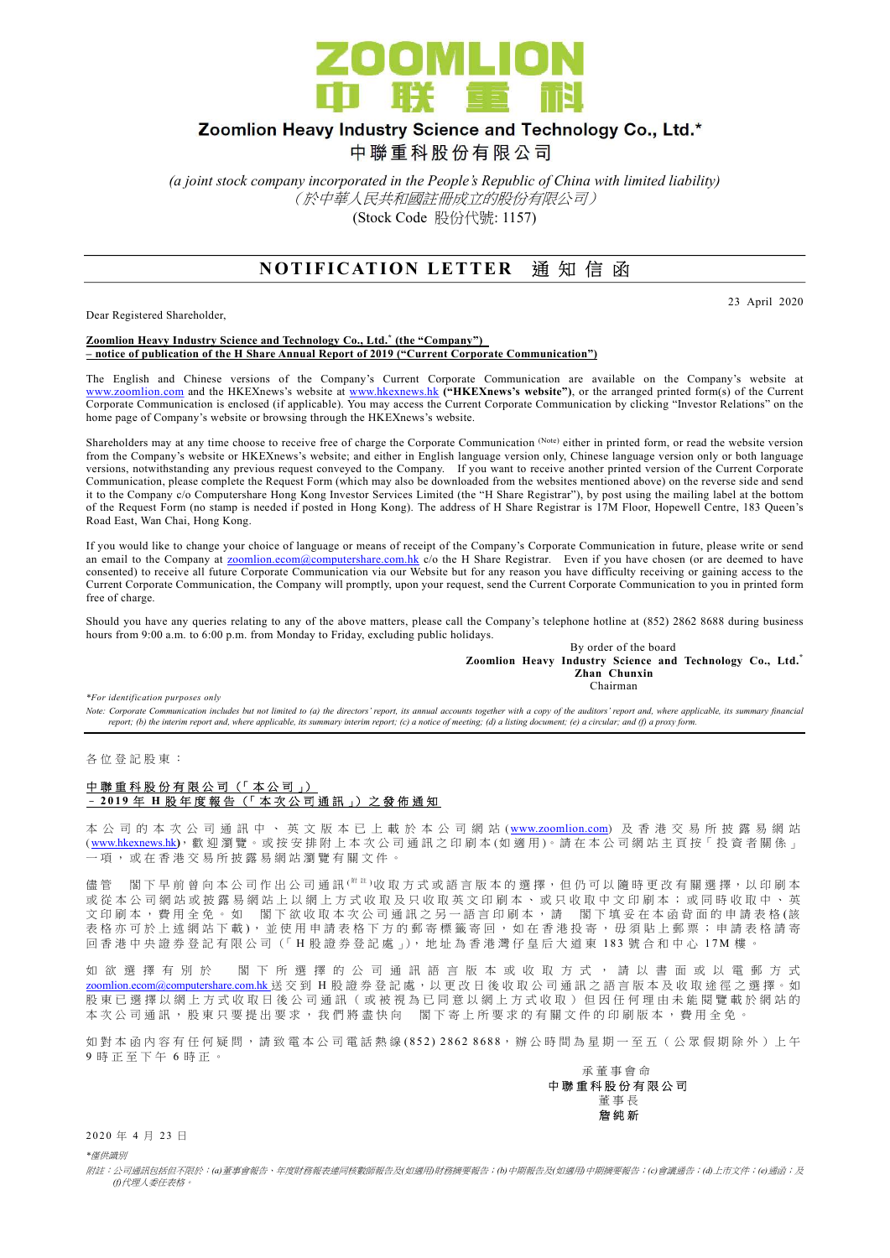

## Zoomlion Heavy Industry Science and Technology Co., Ltd.\*

中聯重科股份有限公司

(a joint stock company incorporated in the People's Republic of China with limited liability) (於中華人民共和國註冊成立的股份有限公司) (Stock Code 股份代號: 1157)

### NOTIFICATION LETTER 通知信函

Dear Registered Shareholder,

23 April 2020

Zoomlion Heavy Industry Science and Technology Co., Ltd.<sup>\*</sup> (the "Company") – notice of publication of the H Share Annual Report of 2019 ("Current Corporate Communication")

The English and Chinese versions of the Company's Current Corporate Communication are available on the Company's website at www.zoomlion.com and the HKEXnews's website at www.hkexnews.hk ("HKEXnews's website"), or the arranged printed form(s) of the Current Corporate Communication is enclosed (if applicable). You may access the Current Corporate Communication by clicking "Investor Relations" on the home page of Company's website or browsing through the HKEXnews's website.

Shareholders may at any time choose to receive free of charge the Corporate Communication (Note) either in printed form, or read the website version from the Company's website or HKEXnews's website; and either in English language version only, Chinese language version only or both language versions, notwithstanding any previous request conveyed to the Company. If you want to receive another printed version of the Current Corporate Communication, please complete the Request Form (which may also be downloaded from the websites mentioned above) on the reverse side and send it to the Company c/o Computershare Hong Kong Investor Services Limited (the "H Share Registrar"), by post using the mailing label at the bottom of the Request Form (no stamp is needed if posted in Hong Kong). The address of H Share Registrar is 17M Floor, Hopewell Centre, 183 Queen's Road East, Wan Chai, Hong Kong.

If you would like to change your choice of language or means of receipt of the Company's Corporate Communication in future, please write or send an email to the Company at zoomlion.ecom@computershare.com.hk c/o the H Share Registrar. Even if you have chosen (or are deemed to have consented) to receive all future Corporate Communication via our Website but for any reason you have difficulty receiving or gaining access to the Current Corporate Communication, the Company will promptly, upon your request, send the Current Corporate Communication to you in printed form free of charge.

Should you have any queries relating to any of the above matters, please call the Company's telephone hotline at (852) 2862 8688 during business hours from 9:00 a.m. to 6:00 p.m. from Monday to Friday, excluding public holidays.

> By order of the board Zoomlion Heavy Industry Science and Technology Co., Ltd.\* Zhan Chunxin **Chairman**

\*For identification purposes only

Note: Corporate Communication includes but not limited to (a) the directors' report, its annual accounts together with a copy of the auditors' report and, where applicable, its summary financial<br>report; (b) the interim rep

各 位 登 記 股 東 :

#### 中聯重科股份有限公司 (「本公司」) – 2 0 1 9 年 H 股 年 度 報 告 (「 本 次 公 司 通 訊 」) 之 發 佈 通 知

本 公 司 的 本 次 公 司 通 訊 中 、 英 文 版 本 已 上 載 於 本 公 司 網 站 ( www.zoomlion.com) 及 香 港 交 易 所 披 露 易 網 站 (www.hkexnews.hk), 歡 迎 瀏 覽。 或 按 安 排 附 上 本 次 公 司 通 訊 之 印 刷 本 (如 適 用)。 請 在 本 公 司 網 站 主 頁 按 「 投 資 者 關 係 」 一 項 , 或 在 香 港 交 易 所 披 露 易 網 站 瀏 覽 有 關 文 件 。

儘 管 閣 下 早 前 曾 向 本 公 司 作 出 公 司 通 訊 <sup>( 附 註</sup> )收 取 方 式 或 語 言 版 本 的 選 擇 , 但 仍 可 以 隨 時 更 改 有 關 選 擇 , 以 印 刷 本 或 從 本 公 司 網 站 或 披 露 易 網 站 上 以 網 上 方 式 收 取 及 只 收 取 英 文 印 刷 本 、 或 只 收 取 中 文 印 刷 本 ; 或 同 時 收 取 中 、 英 文 印 刷 本 , 費 用 全 免 。 如 閣 下 欲 收 取 本 次 公 司 通 訊 之 另 一 語 言 印 刷 本 , 請 一 閣 下 填 妥 在 本 函 背 面 的 申 請 表 格 (該 表 格 亦 可 於 上 述 網 站 下 載 ), 並 使 用 申 請 表 格 下 方 的 郵 寄 標 籤 寄 回 , 如 在 香 港 投 寄 , 毋 須 貼 上 郵 票 ; 申 請 表 格 請 寄 回 香 港 中 央 證 券 登 記 有 限 公 司 (「 H 股 證 券 登 記 處 」), 地 址 為 香 港 灣 仔 皇 后 大 道 東 1 8 3 號 合 和 中 心 1 7 M 樓 。

如 欲 選 擇 有 別 於 閣 下 所 選 擇 的 公 司 通 訊 語 言 版 本 或 收 取 方 式 , 請 以 書 面 或 以 電 郵 方 式 zoomlion.ecom@computershare.com.hk 送 交 到 H 股 證 券 登 記 處 , 以 更 改 日 後 收 取 公 司 通 訊 之 語 言 版 本 及 收 取 途 徑 之 選 擇 。 如 股 東 已 選 擇 以 網 上 方 式 收 取 日 後 公 司 通 訊 ( 或 被 視 為 已 同 意 以 網 上 方 式 收 取 ) 但 因 任 何 理 由 未 能 閲 覽 載 於 網 站 的 本 次 公 司 通 訊 , 股 東 只 要 提 出 要 求 , 我 們 將 盡 快 向 <br>閣 下 寄 上 所 要 求 的 有 關 文 件 的 印 刷 版 本 , 費 用 全 免

如 對 本 函 内 容 有 任 何 疑 問 , 請 致 雷 本 公 司 雷 話 熱 線 ( 852) 2862 8688, 辦 公 時 間 為 星 期 一 至 五 ( 公 眾 假 期 除 外 ) 上 午 9 時 正 至 下 午 6 時 正 。



2020 年 4 月 23 日

\*僅供識別

附註:公司通訊包括但不限於:(a)董事會報告、年度財務報表連同核數師報告及(如適用)財務摘要報告;(b)中期報告及(如適用)中期摘要報告;(c)會議通告;(d)上市文件;(e)通函;及 (f)代理人委任表格。